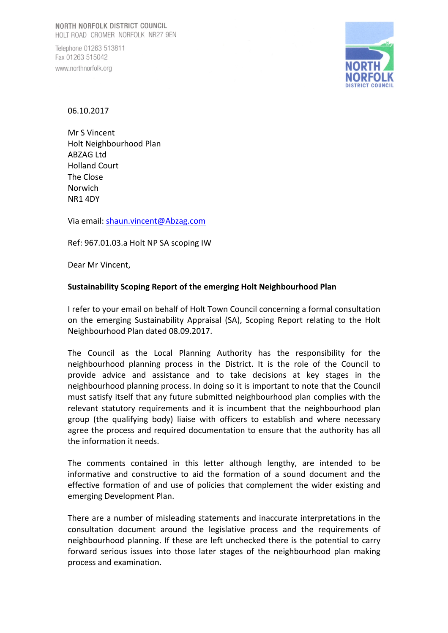Telephone 01263 513811 Fax 01263 515042 www.northnorfolk.org



06.10.2017

Mr S Vincent Holt Neighbourhood Plan ABZAG Ltd Holland Court The Close Norwich NR1 4DY

Via email: shaun.vincent@Abzag.com

Ref: 967.01.03.a Holt NP SA scoping IW

Dear Mr Vincent,

### **Sustainability Scoping Report of the emerging Holt Neighbourhood Plan**

I refer to your email on behalf of Holt Town Council concerning a formal consultation on the emerging Sustainability Appraisal (SA), Scoping Report relating to the Holt Neighbourhood Plan dated 08.09.2017.

The Council as the Local Planning Authority has the responsibility for the neighbourhood planning process in the District. It is the role of the Council to provide advice and assistance and to take decisions at key stages in the neighbourhood planning process. In doing so it is important to note that the Council must satisfy itself that any future submitted neighbourhood plan complies with the relevant statutory requirements and it is incumbent that the neighbourhood plan group (the qualifying body) liaise with officers to establish and where necessary agree the process and required documentation to ensure that the authority has all the information it needs.

The comments contained in this letter although lengthy, are intended to be informative and constructive to aid the formation of a sound document and the effective formation of and use of policies that complement the wider existing and emerging Development Plan.

There are a number of misleading statements and inaccurate interpretations in the consultation document around the legislative process and the requirements of neighbourhood planning. If these are left unchecked there is the potential to carry forward serious issues into those later stages of the neighbourhood plan making process and examination.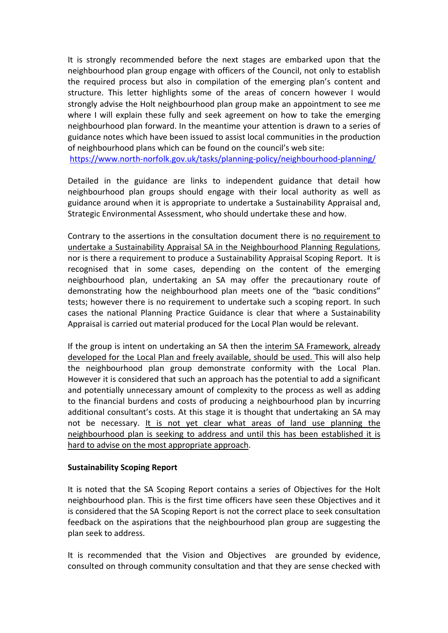It is strongly recommended before the next stages are embarked upon that the neighbourhood plan group engage with officers of the Council, not only to establish the required process but also in compilation of the emerging plan's content and structure. This letter highlights some of the areas of concern however I would strongly advise the Holt neighbourhood plan group make an appointment to see me where I will explain these fully and seek agreement on how to take the emerging neighbourhood plan forward. In the meantime your attention is drawn to a series of guidance notes which have been issued to assist local communities in the production of neighbourhood plans which can be found on the council's web site:

https://www.north-norfolk.gov.uk/tasks/planning-policy/neighbourhood-planning/

Detailed in the guidance are links to independent guidance that detail how neighbourhood plan groups should engage with their local authority as well as guidance around when it is appropriate to undertake a Sustainability Appraisal and, Strategic Environmental Assessment, who should undertake these and how.

Contrary to the assertions in the consultation document there is no requirement to undertake a Sustainability Appraisal SA in the Neighbourhood Planning Regulations, nor is there a requirement to produce a Sustainability Appraisal Scoping Report. It is recognised that in some cases, depending on the content of the emerging neighbourhood plan, undertaking an SA may offer the precautionary route of demonstrating how the neighbourhood plan meets one of the "basic conditions" tests; however there is no requirement to undertake such a scoping report. In such cases the national Planning Practice Guidance is clear that where a Sustainability Appraisal is carried out material produced for the Local Plan would be relevant.

If the group is intent on undertaking an SA then the interim SA Framework, already developed for the Local Plan and freely available, should be used. This will also help the neighbourhood plan group demonstrate conformity with the Local Plan. However it is considered that such an approach has the potential to add a significant and potentially unnecessary amount of complexity to the process as well as adding to the financial burdens and costs of producing a neighbourhood plan by incurring additional consultant's costs. At this stage it is thought that undertaking an SA may not be necessary. It is not yet clear what areas of land use planning the neighbourhood plan is seeking to address and until this has been established it is hard to advise on the most appropriate approach.

# **Sustainability Scoping Report**

It is noted that the SA Scoping Report contains a series of Objectives for the Holt neighbourhood plan. This is the first time officers have seen these Objectives and it is considered that the SA Scoping Report is not the correct place to seek consultation feedback on the aspirations that the neighbourhood plan group are suggesting the plan seek to address.

It is recommended that the Vision and Objectives are grounded by evidence, consulted on through community consultation and that they are sense checked with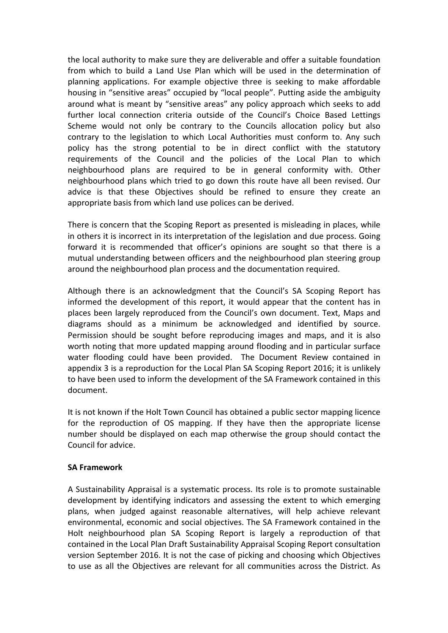the local authority to make sure they are deliverable and offer a suitable foundation from which to build a Land Use Plan which will be used in the determination of planning applications. For example objective three is seeking to make affordable housing in "sensitive areas" occupied by "local people". Putting aside the ambiguity around what is meant by "sensitive areas" any policy approach which seeks to add further local connection criteria outside of the Council's Choice Based Lettings Scheme would not only be contrary to the Councils allocation policy but also contrary to the legislation to which Local Authorities must conform to. Any such policy has the strong potential to be in direct conflict with the statutory requirements of the Council and the policies of the Local Plan to which neighbourhood plans are required to be in general conformity with. Other neighbourhood plans which tried to go down this route have all been revised. Our advice is that these Objectives should be refined to ensure they create an appropriate basis from which land use polices can be derived.

There is concern that the Scoping Report as presented is misleading in places, while in others it is incorrect in its interpretation of the legislation and due process. Going forward it is recommended that officer's opinions are sought so that there is a mutual understanding between officers and the neighbourhood plan steering group around the neighbourhood plan process and the documentation required.

Although there is an acknowledgment that the Council's SA Scoping Report has informed the development of this report, it would appear that the content has in places been largely reproduced from the Council's own document. Text, Maps and diagrams should as a minimum be acknowledged and identified by source. Permission should be sought before reproducing images and maps, and it is also worth noting that more updated mapping around flooding and in particular surface water flooding could have been provided. The Document Review contained in appendix 3 is a reproduction for the Local Plan SA Scoping Report 2016; it is unlikely to have been used to inform the development of the SA Framework contained in this document.

It is not known if the Holt Town Council has obtained a public sector mapping licence for the reproduction of OS mapping. If they have then the appropriate license number should be displayed on each map otherwise the group should contact the Council for advice.

### **SA Framework**

A Sustainability Appraisal is a systematic process. Its role is to promote sustainable development by identifying indicators and assessing the extent to which emerging plans, when judged against reasonable alternatives, will help achieve relevant environmental, economic and social objectives. The SA Framework contained in the Holt neighbourhood plan SA Scoping Report is largely a reproduction of that contained in the Local Plan Draft Sustainability Appraisal Scoping Report consultation version September 2016. It is not the case of picking and choosing which Objectives to use as all the Objectives are relevant for all communities across the District. As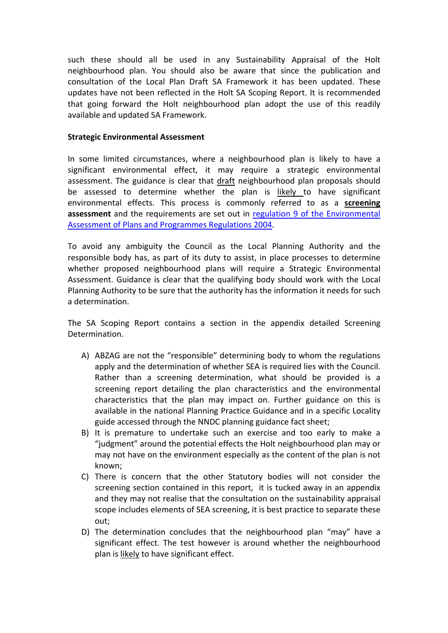such these should all be used in any Sustainability Appraisal of the Holt neighbourhood plan. You should also be aware that since the publication and consultation of the Local Plan Draft SA Framework it has been updated. These updates have not been reflected in the Holt SA Scoping Report. It is recommended that going forward the Holt neighbourhood plan adopt the use of this readily available and updated SA Framework.

#### **Strategic Environmental Assessment**

In some limited circumstances, where a neighbourhood plan is likely to have a significant environmental effect, it may require a strategic environmental assessment. The guidance is clear that draft neighbourhood plan proposals should be assessed to determine whether the plan is likely to have significant environmental effects. This process is commonly referred to as a **screening assessment** and the requirements are set out in regulation 9 of the Environmental Assessment of Plans and Programmes Regulations 2004.

To avoid any ambiguity the Council as the Local Planning Authority and the responsible body has, as part of its duty to assist, in place processes to determine whether proposed neighbourhood plans will require a Strategic Environmental Assessment. Guidance is clear that the qualifying body should work with the Local Planning Authority to be sure that the authority has the information it needs for such a determination.

The SA Scoping Report contains a section in the appendix detailed Screening Determination.

- A) ABZAG are not the "responsible" determining body to whom the regulations apply and the determination of whether SEA is required lies with the Council. Rather than a screening determination, what should be provided is a screening report detailing the plan characteristics and the environmental characteristics that the plan may impact on. Further guidance on this is available in the national Planning Practice Guidance and in a specific Locality guide accessed through the NNDC planning guidance fact sheet;
- B) It is premature to undertake such an exercise and too early to make a "judgment" around the potential effects the Holt neighbourhood plan may or may not have on the environment especially as the content of the plan is not known;
- C) There is concern that the other Statutory bodies will not consider the screening section contained in this report, it is tucked away in an appendix and they may not realise that the consultation on the sustainability appraisal scope includes elements of SEA screening, it is best practice to separate these out;
- D) The determination concludes that the neighbourhood plan "may" have a significant effect. The test however is around whether the neighbourhood plan is likely to have significant effect.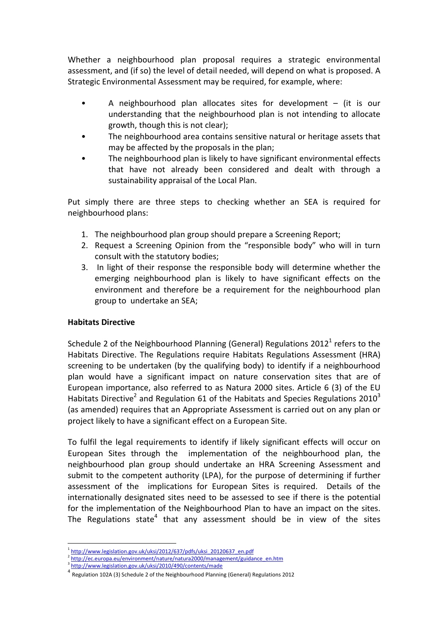Whether a neighbourhood plan proposal requires a strategic environmental assessment, and (if so) the level of detail needed, will depend on what is proposed. A Strategic Environmental Assessment may be required, for example, where:

- A neighbourhood plan allocates sites for development  $-$  (it is our understanding that the neighbourhood plan is not intending to allocate growth, though this is not clear);
- The neighbourhood area contains sensitive natural or heritage assets that may be affected by the proposals in the plan;
- The neighbourhood plan is likely to have significant environmental effects that have not already been considered and dealt with through a sustainability appraisal of the Local Plan.

Put simply there are three steps to checking whether an SEA is required for neighbourhood plans:

- 1. The neighbourhood plan group should prepare a Screening Report;
- 2. Request a Screening Opinion from the "responsible body" who will in turn consult with the statutory bodies;
- 3. In light of their response the responsible body will determine whether the emerging neighbourhood plan is likely to have significant effects on the environment and therefore be a requirement for the neighbourhood plan group to undertake an SEA;

# **Habitats Directive**

 $\overline{a}$ 

Schedule 2 of the Neighbourhood Planning (General) Regulations  $2012<sup>1</sup>$  refers to the Habitats Directive. The Regulations require Habitats Regulations Assessment (HRA) screening to be undertaken (by the qualifying body) to identify if a neighbourhood plan would have a significant impact on nature conservation sites that are of European importance, also referred to as Natura 2000 sites. Article 6 (3) of the EU Habitats Directive<sup>2</sup> and Regulation 61 of the Habitats and Species Regulations 2010<sup>3</sup> (as amended) requires that an Appropriate Assessment is carried out on any plan or project likely to have a significant effect on a European Site.

To fulfil the legal requirements to identify if likely significant effects will occur on European Sites through the implementation of the neighbourhood plan, the neighbourhood plan group should undertake an HRA Screening Assessment and submit to the competent authority (LPA), for the purpose of determining if further assessment of the implications for European Sites is required. Details of the internationally designated sites need to be assessed to see if there is the potential for the implementation of the Neighbourhood Plan to have an impact on the sites. The Regulations state<sup>4</sup> that any assessment should be in view of the sites

 $\frac{2 \text{ http://ec.europa.eu/environment/nature/natura2000/management/guidance_en.htm}}{2 \cdot \frac{2 \cdot 1 \cdot 1}{1 \cdot 1} \cdot 1}$ <br> $\frac{2 \cdot 1 \cdot 1}{1 \cdot 1}$ <br> $\frac{4 \cdot 1}{1 \cdot 1}$  Regulation 102A (3) Schedule 2 of the Neighbourhood Planning (General) Regulations 2012

http://www.legislation.gov.uk/uksi/2012/637/pdfs/uksi\_20120637\_en.pdf